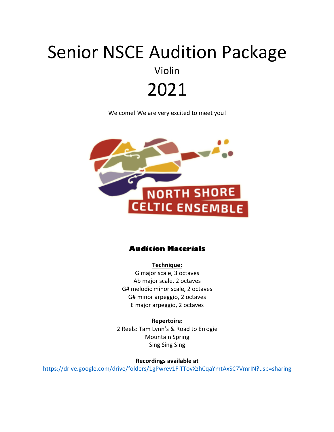# Senior NSCE Audition Package Violin 2021

Welcome! We are very excited to meet you!



#### **Audition Materials**

**Technique:** G major scale, 3 octaves Ab major scale, 2 octaves G# melodic minor scale, 2 octaves G# minor arpeggio, 2 octaves E major arpeggio, 2 octaves

**Repertoire:** 2 Reels: Tam Lynn's & Road to Errogie Mountain Spring Sing Sing Sing

**Recordings available at**

https://drive.google.com/drive/folders/1gPwrev1FiTTovXzhCqaYmtAxSC7VmrIN?usp=sharing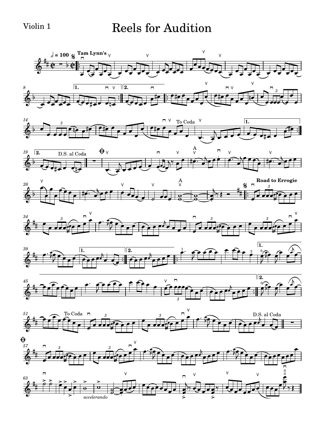#### Violin 1 Reels for Audition

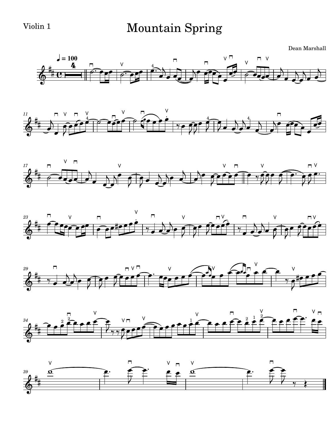#### Violin 1 Mountain Spring

Dean Marshall













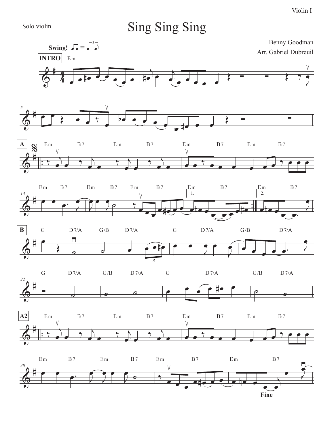Solo violin

*5*

## Sing Sing Sing





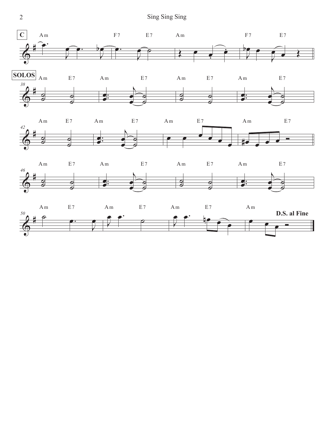2 Sing Sing Sing